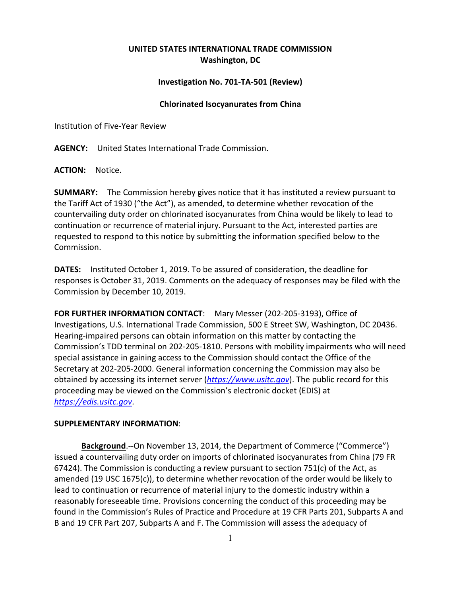## **UNITED STATES INTERNATIONAL TRADE COMMISSION Washington, DC**

## **Investigation No. 701-TA-501 (Review)**

## **Chlorinated Isocyanurates from China**

Institution of Five-Year Review

**AGENCY:** United States International Trade Commission.

**ACTION:** Notice.

**SUMMARY:** The Commission hereby gives notice that it has instituted a review pursuant to the Tariff Act of 1930 ("the Act"), as amended, to determine whether revocation of the countervailing duty order on chlorinated isocyanurates from China would be likely to lead to continuation or recurrence of material injury. Pursuant to the Act, interested parties are requested to respond to this notice by submitting the information specified below to the Commission.

**DATES:** Instituted October 1, 2019. To be assured of consideration, the deadline for responses is October 31, 2019. Comments on the adequacy of responses may be filed with the Commission by December 10, 2019.

**FOR FURTHER INFORMATION CONTACT**: Mary Messer (202-205-3193), Office of Investigations, U.S. International Trade Commission, 500 E Street SW, Washington, DC 20436. Hearing-impaired persons can obtain information on this matter by contacting the Commission's TDD terminal on 202-205-1810. Persons with mobility impairments who will need special assistance in gaining access to the Commission should contact the Office of the Secretary at 202-205-2000. General information concerning the Commission may also be obtained by accessing its internet server (*[https://www.usitc.gov](https://www.usitc.gov/)*). The public record for this proceeding may be viewed on the Commission's electronic docket (EDIS) at *[https://edis.usitc.gov](https://edis.usitc.gov/)*.

## **SUPPLEMENTARY INFORMATION**:

**Background**.--On November 13, 2014, the Department of Commerce ("Commerce") issued a countervailing duty order on imports of chlorinated isocyanurates from China (79 FR 67424). The Commission is conducting a review pursuant to section 751(c) of the Act, as amended (19 USC 1675(c)), to determine whether revocation of the order would be likely to lead to continuation or recurrence of material injury to the domestic industry within a reasonably foreseeable time. Provisions concerning the conduct of this proceeding may be found in the Commission's Rules of Practice and Procedure at 19 CFR Parts 201, Subparts A and B and 19 CFR Part 207, Subparts A and F. The Commission will assess the adequacy of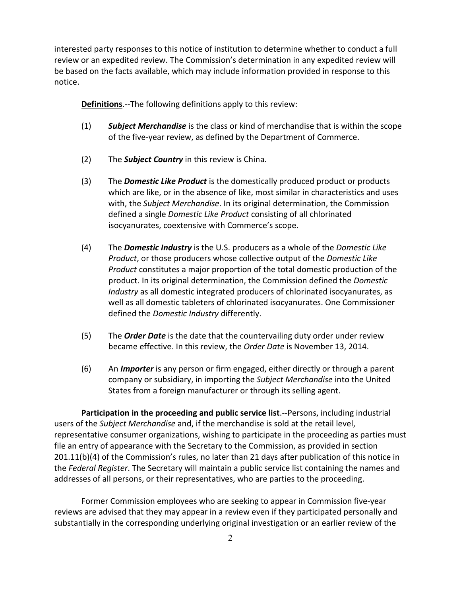interested party responses to this notice of institution to determine whether to conduct a full review or an expedited review. The Commission's determination in any expedited review will be based on the facts available, which may include information provided in response to this notice.

**Definitions**.--The following definitions apply to this review:

- (1) *Subject Merchandise* is the class or kind of merchandise that is within the scope of the five-year review, as defined by the Department of Commerce.
- (2) The *Subject Country* in this review is China.
- (3) The *Domestic Like Product* is the domestically produced product or products which are like, or in the absence of like, most similar in characteristics and uses with, the *Subject Merchandise*. In its original determination, the Commission defined a single *Domestic Like Product* consisting of all chlorinated isocyanurates, coextensive with Commerce's scope.
- (4) The *Domestic Industry* is the U.S. producers as a whole of the *Domestic Like Product*, or those producers whose collective output of the *Domestic Like Product* constitutes a major proportion of the total domestic production of the product. In its original determination, the Commission defined the *Domestic Industry* as all domestic integrated producers of chlorinated isocyanurates, as well as all domestic tableters of chlorinated isocyanurates. One Commissioner defined the *Domestic Industry* differently.
- (5) The *Order Date* is the date that the countervailing duty order under review became effective. In this review, the *Order Date* is November 13, 2014.
- (6) An *Importer* is any person or firm engaged, either directly or through a parent company or subsidiary, in importing the *Subject Merchandise* into the United States from a foreign manufacturer or through its selling agent.

**Participation in the proceeding and public service list**.--Persons, including industrial users of the *Subject Merchandise* and, if the merchandise is sold at the retail level, representative consumer organizations, wishing to participate in the proceeding as parties must file an entry of appearance with the Secretary to the Commission, as provided in section 201.11(b)(4) of the Commission's rules, no later than 21 days after publication of this notice in the *Federal Register*. The Secretary will maintain a public service list containing the names and addresses of all persons, or their representatives, who are parties to the proceeding.

Former Commission employees who are seeking to appear in Commission five-year reviews are advised that they may appear in a review even if they participated personally and substantially in the corresponding underlying original investigation or an earlier review of the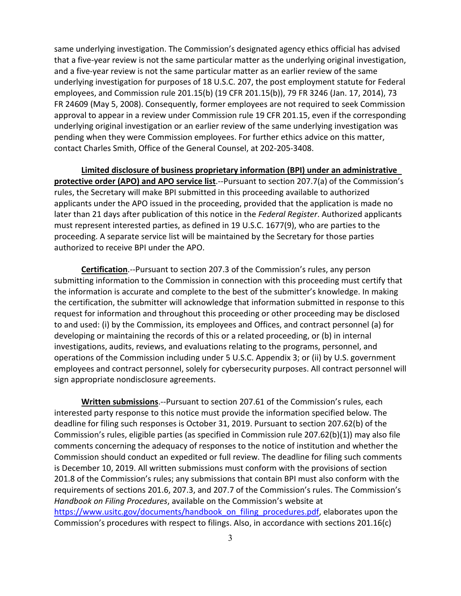same underlying investigation. The Commission's designated agency ethics official has advised that a five-year review is not the same particular matter as the underlying original investigation, and a five-year review is not the same particular matter as an earlier review of the same underlying investigation for purposes of 18 U.S.C. 207, the post employment statute for Federal employees, and Commission rule 201.15(b) (19 CFR 201.15(b)), 79 FR 3246 (Jan. 17, 2014), 73 FR 24609 (May 5, 2008). Consequently, former employees are not required to seek Commission approval to appear in a review under Commission rule 19 CFR 201.15, even if the corresponding underlying original investigation or an earlier review of the same underlying investigation was pending when they were Commission employees. For further ethics advice on this matter, contact Charles Smith, Office of the General Counsel, at 202-205-3408.

**Limited disclosure of business proprietary information (BPI) under an administrative protective order (APO) and APO service list**.--Pursuant to section 207.7(a) of the Commission's rules, the Secretary will make BPI submitted in this proceeding available to authorized applicants under the APO issued in the proceeding, provided that the application is made no later than 21 days after publication of this notice in the *Federal Register*. Authorized applicants must represent interested parties, as defined in 19 U.S.C. 1677(9), who are parties to the proceeding. A separate service list will be maintained by the Secretary for those parties authorized to receive BPI under the APO.

**Certification**.--Pursuant to section 207.3 of the Commission's rules, any person submitting information to the Commission in connection with this proceeding must certify that the information is accurate and complete to the best of the submitter's knowledge. In making the certification, the submitter will acknowledge that information submitted in response to this request for information and throughout this proceeding or other proceeding may be disclosed to and used: (i) by the Commission, its employees and Offices, and contract personnel (a) for developing or maintaining the records of this or a related proceeding, or (b) in internal investigations, audits, reviews, and evaluations relating to the programs, personnel, and operations of the Commission including under 5 U.S.C. Appendix 3; or (ii) by U.S. government employees and contract personnel, solely for cybersecurity purposes. All contract personnel will sign appropriate nondisclosure agreements.

**Written submissions**.--Pursuant to section 207.61 of the Commission's rules, each interested party response to this notice must provide the information specified below. The deadline for filing such responses is October 31, 2019. Pursuant to section 207.62(b) of the Commission's rules, eligible parties (as specified in Commission rule 207.62(b)(1)) may also file comments concerning the adequacy of responses to the notice of institution and whether the Commission should conduct an expedited or full review. The deadline for filing such comments is December 10, 2019. All written submissions must conform with the provisions of section 201.8 of the Commission's rules; any submissions that contain BPI must also conform with the requirements of sections 201.6, 207.3, and 207.7 of the Commission's rules. The Commission's *Handbook on Filing Procedures*, available on the Commission's website at [https://www.usitc.gov/documents/handbook\\_on\\_filing\\_procedures.pdf,](https://www.usitc.gov/documents/handbook_on_filing_procedures.pdf) elaborates upon the Commission's procedures with respect to filings. Also, in accordance with sections 201.16(c)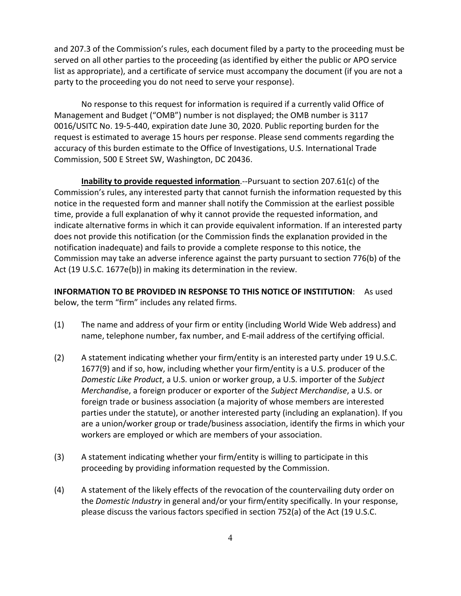and 207.3 of the Commission's rules, each document filed by a party to the proceeding must be served on all other parties to the proceeding (as identified by either the public or APO service list as appropriate), and a certificate of service must accompany the document (if you are not a party to the proceeding you do not need to serve your response).

No response to this request for information is required if a currently valid Office of Management and Budget ("OMB") number is not displayed; the OMB number is 3117 0016/USITC No. 19-5-440, expiration date June 30, 2020. Public reporting burden for the request is estimated to average 15 hours per response. Please send comments regarding the accuracy of this burden estimate to the Office of Investigations, U.S. International Trade Commission, 500 E Street SW, Washington, DC 20436.

**Inability to provide requested information**.--Pursuant to section 207.61(c) of the Commission's rules, any interested party that cannot furnish the information requested by this notice in the requested form and manner shall notify the Commission at the earliest possible time, provide a full explanation of why it cannot provide the requested information, and indicate alternative forms in which it can provide equivalent information. If an interested party does not provide this notification (or the Commission finds the explanation provided in the notification inadequate) and fails to provide a complete response to this notice, the Commission may take an adverse inference against the party pursuant to section 776(b) of the Act (19 U.S.C. 1677e(b)) in making its determination in the review.

**INFORMATION TO BE PROVIDED IN RESPONSE TO THIS NOTICE OF INSTITUTION**: As used below, the term "firm" includes any related firms.

- (1) The name and address of your firm or entity (including World Wide Web address) and name, telephone number, fax number, and E-mail address of the certifying official.
- (2) A statement indicating whether your firm/entity is an interested party under 19 U.S.C. 1677(9) and if so, how, including whether your firm/entity is a U.S. producer of the *Domestic Like Product*, a U.S. union or worker group, a U.S. importer of the *Subject Merchandi*se, a foreign producer or exporter of the *Subject Merchandise*, a U.S. or foreign trade or business association (a majority of whose members are interested parties under the statute), or another interested party (including an explanation). If you are a union/worker group or trade/business association, identify the firms in which your workers are employed or which are members of your association.
- (3) A statement indicating whether your firm/entity is willing to participate in this proceeding by providing information requested by the Commission.
- (4) A statement of the likely effects of the revocation of the countervailing duty order on the *Domestic Industry* in general and/or your firm/entity specifically. In your response, please discuss the various factors specified in section 752(a) of the Act (19 U.S.C.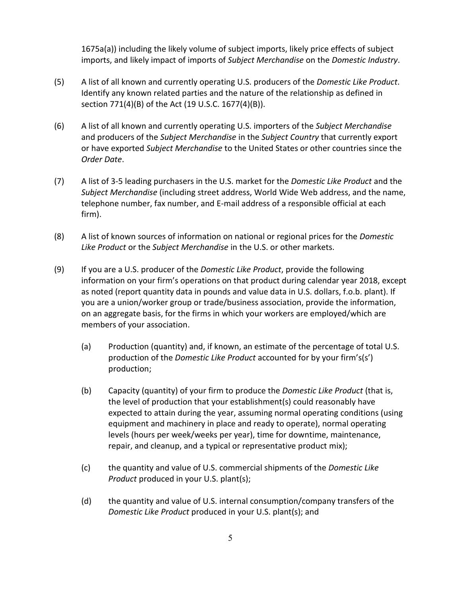1675a(a)) including the likely volume of subject imports, likely price effects of subject imports, and likely impact of imports of *Subject Merchandise* on the *Domestic Industry*.

- (5) A list of all known and currently operating U.S. producers of the *Domestic Like Product*. Identify any known related parties and the nature of the relationship as defined in section 771(4)(B) of the Act (19 U.S.C. 1677(4)(B)).
- (6) A list of all known and currently operating U.S. importers of the *Subject Merchandise* and producers of the *Subject Merchandise* in the *Subject Country* that currently export or have exported *Subject Merchandise* to the United States or other countries since the *Order Date*.
- (7) A list of 3-5 leading purchasers in the U.S. market for the *Domestic Like Product* and the *Subject Merchandise* (including street address, World Wide Web address, and the name, telephone number, fax number, and E-mail address of a responsible official at each firm).
- (8) A list of known sources of information on national or regional prices for the *Domestic Like Product* or the *Subject Merchandise* in the U.S. or other markets.
- (9) If you are a U.S. producer of the *Domestic Like Product*, provide the following information on your firm's operations on that product during calendar year 2018, except as noted (report quantity data in pounds and value data in U.S. dollars, f.o.b. plant). If you are a union/worker group or trade/business association, provide the information, on an aggregate basis, for the firms in which your workers are employed/which are members of your association.
	- (a) Production (quantity) and, if known, an estimate of the percentage of total U.S. production of the *Domestic Like Product* accounted for by your firm's(s') production;
	- (b) Capacity (quantity) of your firm to produce the *Domestic Like Product* (that is, the level of production that your establishment(s) could reasonably have expected to attain during the year, assuming normal operating conditions (using equipment and machinery in place and ready to operate), normal operating levels (hours per week/weeks per year), time for downtime, maintenance, repair, and cleanup, and a typical or representative product mix);
	- (c) the quantity and value of U.S. commercial shipments of the *Domestic Like Product* produced in your U.S. plant(s);
	- (d) the quantity and value of U.S. internal consumption/company transfers of the *Domestic Like Product* produced in your U.S. plant(s); and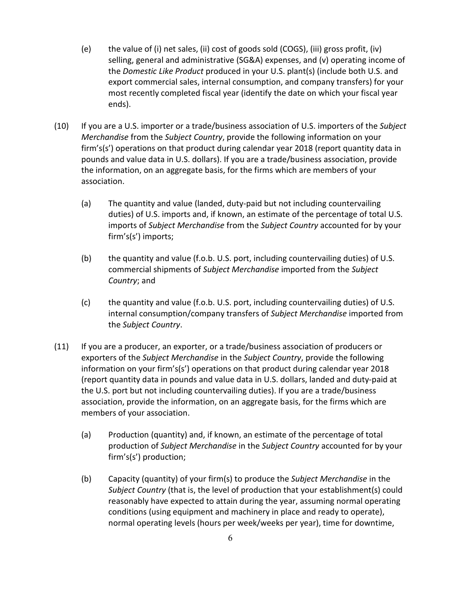- (e) the value of (i) net sales, (ii) cost of goods sold (COGS), (iii) gross profit, (iv) selling, general and administrative (SG&A) expenses, and (v) operating income of the *Domestic Like Product* produced in your U.S. plant(s) (include both U.S. and export commercial sales, internal consumption, and company transfers) for your most recently completed fiscal year (identify the date on which your fiscal year ends).
- (10) If you are a U.S. importer or a trade/business association of U.S. importers of the *Subject Merchandise* from the *Subject Country*, provide the following information on your firm's(s') operations on that product during calendar year 2018 (report quantity data in pounds and value data in U.S. dollars). If you are a trade/business association, provide the information, on an aggregate basis, for the firms which are members of your association.
	- (a) The quantity and value (landed, duty-paid but not including countervailing duties) of U.S. imports and, if known, an estimate of the percentage of total U.S. imports of *Subject Merchandise* from the *Subject Country* accounted for by your firm's(s') imports;
	- (b) the quantity and value (f.o.b. U.S. port, including countervailing duties) of U.S. commercial shipments of *Subject Merchandise* imported from the *Subject Country*; and
	- (c) the quantity and value (f.o.b. U.S. port, including countervailing duties) of U.S. internal consumption/company transfers of *Subject Merchandise* imported from the *Subject Country*.
- (11) If you are a producer, an exporter, or a trade/business association of producers or exporters of the *Subject Merchandise* in the *Subject Country*, provide the following information on your firm's(s') operations on that product during calendar year 2018 (report quantity data in pounds and value data in U.S. dollars, landed and duty-paid at the U.S. port but not including countervailing duties). If you are a trade/business association, provide the information, on an aggregate basis, for the firms which are members of your association.
	- (a) Production (quantity) and, if known, an estimate of the percentage of total production of *Subject Merchandise* in the *Subject Country* accounted for by your firm's(s') production;
	- (b) Capacity (quantity) of your firm(s) to produce the *Subject Merchandise* in the *Subject Country* (that is, the level of production that your establishment(s) could reasonably have expected to attain during the year, assuming normal operating conditions (using equipment and machinery in place and ready to operate), normal operating levels (hours per week/weeks per year), time for downtime,